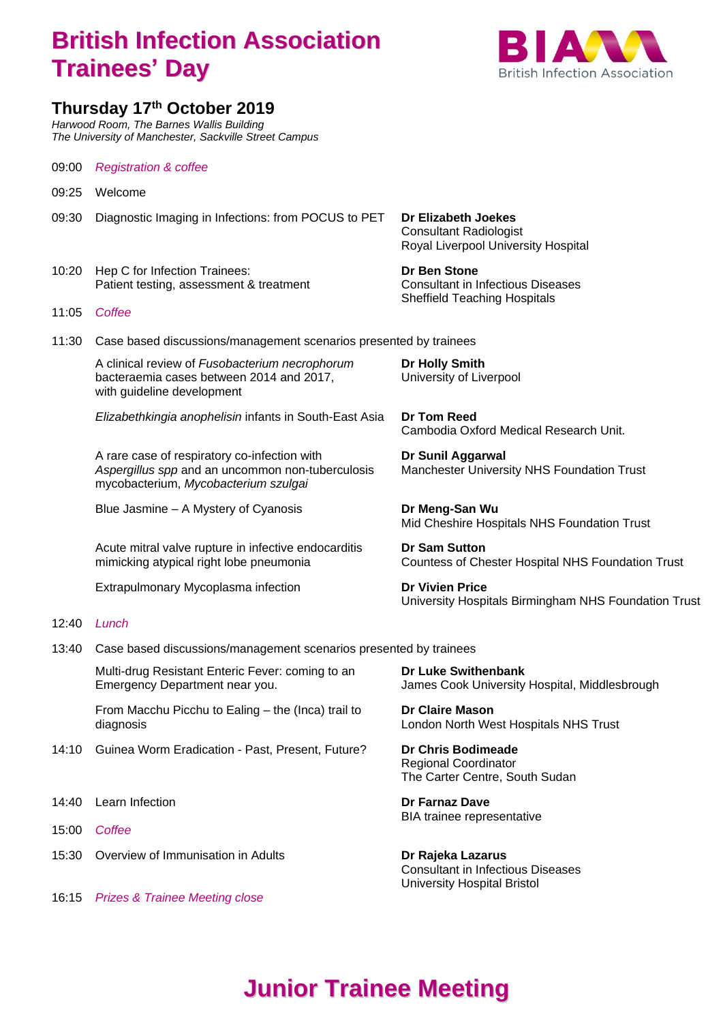## **British Infection Association Trainees' Day**



## **Thursday 17 th October 2019**

*Harwood Room, The Barnes Wallis Building The University of Manchester, Sackville Street Campus*

09:00 *Registration & coffee*

- 09:25 Welcome
- 09:30 Diagnostic Imaging in Infections: from POCUS to PET **Dr Elizabeth Joekes**
- 10:20 Hep C for Infection Trainees: **Dr Ben Stone** Patient testing, assessment & treatment Consultant in Infectious Diseases
- 11:05 *Coffee*
- 11:30 Case based discussions/management scenarios presented by trainees

A clinical review of *Fusobacterium necrophorum* **Dr Holly Smith** bacteraemia cases between 2014 and 2017, University of Liverpool with guideline development

*Elizabethkingia anophelisin* infants in South-East Asia **Dr Tom Reed** 

A rare case of respiratory co-infection with **Dr Sunil Aggarwal** *Aspergillus spp* and an uncommon non-tuberculosis Manchester University NHS Foundation Trust mycobacterium, *Mycobacterium szulgai*

Blue Jasmine – A Mystery of Cyanosis **Dr Meng-San Wu** 

Acute mitral valve rupture in infective endocarditis **Dr Sam Sutton**

Extrapulmonary Mycoplasma infection **Dr Vivien Price** 

## 12:40 *Lunch*

13:40 Case based discussions/management scenarios presented by trainees

Multi-drug Resistant Enteric Fever: coming to an **Dr Luke Swithenbank** Emergency Department near you. James Cook University Hospital, Middlesbrough

From Macchu Picchu to Ealing – the (Inca) trail to **Dr Claire Mason** diagnosis London North West Hospitals NHS Trust

- 14:10 Guinea Worm Eradication Past, Present, Future? **Dr Chris Bodimeade**
- 14:40 Learn Infection **Dr Farnaz Dave**
- 15:00 *Coffee*
- 15:30 Overview of Immunisation in Adults **Dr Rajeka Lazarus**

16:15 *Prizes & Trainee Meeting close*

Consultant Radiologist Royal Liverpool University Hospital

Sheffield Teaching Hospitals

Cambodia Oxford Medical Research Unit.

Mid Cheshire Hospitals NHS Foundation Trust

mimicking atypical right lobe pneumonia Countess of Chester Hospital NHS Foundation Trust

University Hospitals Birmingham NHS Foundation Trust

Regional Coordinator The Carter Centre, South Sudan

BIA trainee representative

Consultant in Infectious Diseases University Hospital Bristol

## **Junior Trainee Meeting**